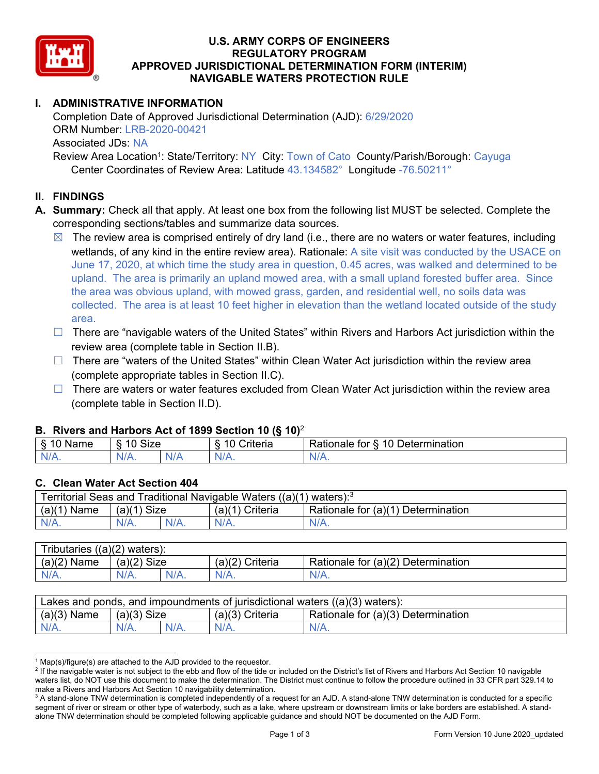

### **U.S. ARMY CORPS OF ENGINEERS REGULATORY PROGRAM APPROVED JURISDICTIONAL DETERMINATION FORM (INTERIM) NAVIGABLE WATERS PROTECTION RULE**

# **I. ADMINISTRATIVE INFORMATION**

Completion Date of Approved Jurisdictional Determination (AJD): 6/29/2020 ORM Number: LRB-2020-00421 Associated JDs: NA Review Area Location<sup>1</sup>: State/Territory: NY City: Town of Cato County/Parish/Borough: Cayuga

Center Coordinates of Review Area: Latitude 43.134582° Longitude -76.50211°

## **II. FINDINGS**

- **A. Summary:** Check all that apply. At least one box from the following list MUST be selected. Complete the corresponding sections/tables and summarize data sources.
	- $\boxtimes$  The review area is comprised entirely of dry land (i.e., there are no waters or water features, including wetlands, of any kind in the entire review area). Rationale: A site visit was conducted by the USACE on June 17, 2020, at which time the study area in question, 0.45 acres, was walked and determined to be upland. The area is primarily an upland mowed area, with a small upland forested buffer area. Since the area was obvious upland, with mowed grass, garden, and residential well, no soils data was collected. The area is at least 10 feet higher in elevation than the wetland located outside of the study area.
	- □ There are "navigable waters of the United States" within Rivers and Harbors Act jurisdiction within the review area (complete table in Section II.B).
	- $\Box$  There are "waters of the United States" within Clean Water Act jurisdiction within the review area (complete appropriate tables in Section II.C).
	- $\Box$  There are waters or water features excluded from Clean Water Act jurisdiction within the review area (complete table in Section II.D).

### **B. Rivers and Harbors Act of 1899 Section 10 (§ 10)**<sup>2</sup>

|              |                                          |    | $\cdot$                                               |                                                                 |
|--------------|------------------------------------------|----|-------------------------------------------------------|-----------------------------------------------------------------|
| ็จme<br>-ча. | $\sim$<br>$\overline{A}$<br>`' -<br>eבוכ |    | $\sim$ $\sim$<br>$\overline{\phantom{a}}$<br>`riteria | $\sim$<br>10<br>termination<br>tor<br>≺atıonale<br><b>JATAL</b> |
| ми<br>.      | N/A.                                     | NL | ND 7<br>$\mathbf{u}$                                  | INI.<br>11 I V.                                                 |

#### **C. Clean Water Act Section 404**

| Territorial Seas and Traditional Navigable Waters $((a)(1)$ waters): <sup>3</sup> |               |         |                   |                                    |  |
|-----------------------------------------------------------------------------------|---------------|---------|-------------------|------------------------------------|--|
| $(a)(1)$ Name                                                                     | $(a)(1)$ Size |         | $(a)(1)$ Criteria | Rationale for (a)(1) Determination |  |
| $N/A$ .                                                                           |               | $N/A$ . |                   | $N/A$ .                            |  |

| Tributaries $((a)(2)$ waters): |               |         |                   |                                    |  |  |
|--------------------------------|---------------|---------|-------------------|------------------------------------|--|--|
| $(a)(2)$ Name                  | $(a)(2)$ Size |         | $(a)(2)$ Criteria | Rationale for (a)(2) Determination |  |  |
| $N/A$ .                        | $N/A$ .       | $N/A$ . | $N/A$ .           | N/A.                               |  |  |

| Lakes and ponds, and impoundments of jurisdictional waters $((a)(3)$ waters): |               |         |                   |                                    |  |
|-------------------------------------------------------------------------------|---------------|---------|-------------------|------------------------------------|--|
| $(a)(3)$ Name                                                                 | $(a)(3)$ Size |         | $(a)(3)$ Criteria | Rationale for (a)(3) Determination |  |
| $N/A$ .                                                                       |               | $N/A$ . | $N/A$ .           | $N/A$ .                            |  |

 $\overline{a}$  $^1$  Map(s)/figure(s) are attached to the AJD provided to the requestor.<br><sup>2</sup> If the navigable water is not subject to the ebb and flow of the tide o

<sup>&</sup>lt;sup>2</sup> If the navigable water is not subject to the ebb and flow of the tide or included on the District's list of Rivers and Harbors Act Section 10 navigable waters list, do NOT use this document to make the determination. The District must continue to follow the procedure outlined in 33 CFR part 329.14 to make a Rivers and Harbors Act Section 10 navigability determination.

 $3$  A stand-alone TNW determination is completed independently of a request for an AJD. A stand-alone TNW determination is conducted for a specific segment of river or stream or other type of waterbody, such as a lake, where upstream or downstream limits or lake borders are established. A standalone TNW determination should be completed following applicable guidance and should NOT be documented on the AJD Form.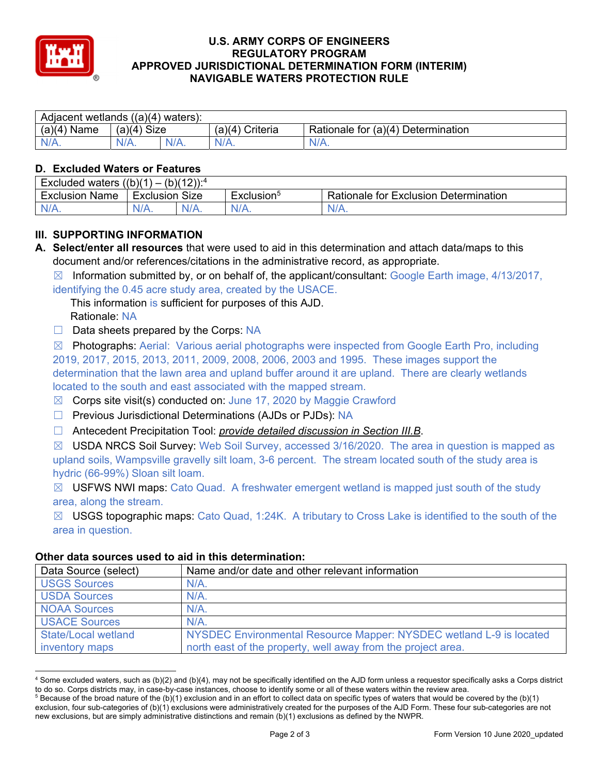

### **U.S. ARMY CORPS OF ENGINEERS REGULATORY PROGRAM APPROVED JURISDICTIONAL DETERMINATION FORM (INTERIM) NAVIGABLE WATERS PROTECTION RULE**

| Adjacent wetlands $((a)(4)$ waters): |                       |         |                    |                                           |  |  |
|--------------------------------------|-----------------------|---------|--------------------|-------------------------------------------|--|--|
| (a)(4)<br>Name                       | (a)(4)<br><b>Size</b> |         | (a)(4)<br>Criteria | Rationale for $(a)(4)$<br>∣ Determination |  |  |
| N/L                                  | $N/A$ .               | $N/A$ . | $N/A$ .            | $N/A$ .                                   |  |  |

### **D. Excluded Waters or Features**

| $(b)(12))$ : <sup>4</sup><br>(1)<br><b>Excluded waters</b><br>$\overline{\phantom{0}}$ |           |         |                        |                                              |
|----------------------------------------------------------------------------------------|-----------|---------|------------------------|----------------------------------------------|
| Exclusion<br>Name                                                                      | Exclusion | Size    | Exclusion <sup>3</sup> | <b>Rationale for Exclusion Determination</b> |
| N/A.                                                                                   | N/A.      | $N/A$ . | $N/A$ .                | $N/A$ .                                      |

## **III. SUPPORTING INFORMATION**

**A. Select/enter all resources** that were used to aid in this determination and attach data/maps to this document and/or references/citations in the administrative record, as appropriate.

 $\boxtimes$  Information submitted by, or on behalf of, the applicant/consultant: Google Earth image, 4/13/2017, identifying the 0.45 acre study area, created by the USACE.

This information is sufficient for purposes of this AJD.

Rationale: NA

 $\Box$  Data sheets prepared by the Corps: NA

 $\boxtimes$  Photographs: Aerial: Various aerial photographs were inspected from Google Earth Pro, including 2019, 2017, 2015, 2013, 2011, 2009, 2008, 2006, 2003 and 1995. These images support the determination that the lawn area and upland buffer around it are upland. There are clearly wetlands located to the south and east associated with the mapped stream.

- $\boxtimes$  Corps site visit(s) conducted on: June 17, 2020 by Maggie Crawford
- □ Previous Jurisdictional Determinations (AJDs or PJDs): NA
- ☐ Antecedent Precipitation Tool: *provide detailed discussion in Section III.B*.

 $\boxtimes$  USDA NRCS Soil Survey: Web Soil Survey, accessed 3/16/2020. The area in question is mapped as upland soils, Wampsville gravelly silt loam, 3-6 percent. The stream located south of the study area is hydric (66-99%) Sloan silt loam.

 $\boxtimes$  USFWS NWI maps: Cato Quad. A freshwater emergent wetland is mapped just south of the study area, along the stream.

☒ USGS topographic maps: Cato Quad, 1:24K. A tributary to Cross Lake is identified to the south of the area in question.

#### **Other data sources used to aid in this determination:**

| Data Source (select)       | Name and/or date and other relevant information                     |
|----------------------------|---------------------------------------------------------------------|
| <b>USGS Sources</b>        | $N/A$ .                                                             |
| <b>USDA Sources</b>        | $N/A$ .                                                             |
| <b>NOAA Sources</b>        | $N/A$ .                                                             |
| <b>USACE Sources</b>       | $N/A$ .                                                             |
| <b>State/Local wetland</b> | NYSDEC Environmental Resource Mapper: NYSDEC wetland L-9 is located |
| inventory maps             | north east of the property, well away from the project area.        |

<sup>4</sup> Some excluded waters, such as (b)(2) and (b)(4), may not be specifically identified on the AJD form unless a requestor specifically asks a Corps district to do so. Corps districts may, in case-by-case instances, choose to identify some or all of these waters within the review area. 5

<sup>&</sup>lt;sup>5</sup> Because of the broad nature of the (b)(1) exclusion and in an effort to collect data on specific types of waters that would be covered by the (b)(1) exclusion, four sub-categories of (b)(1) exclusions were administratively created for the purposes of the AJD Form. These four sub-categories are not new exclusions, but are simply administrative distinctions and remain (b)(1) exclusions as defined by the NWPR.